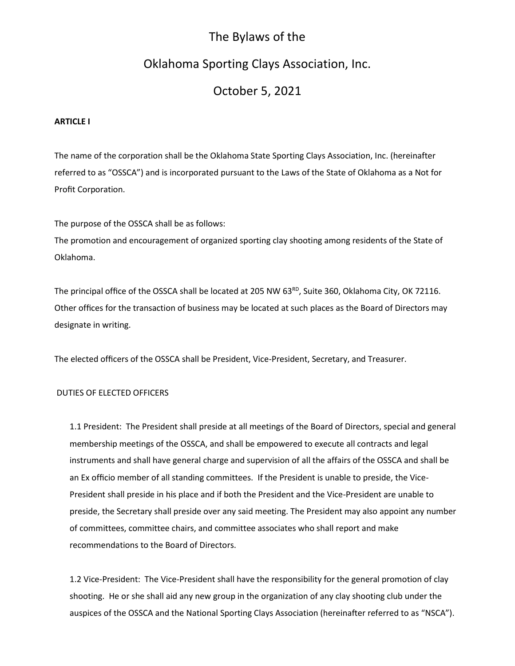# The Bylaws of the

# Oklahoma Sporting Clays Association, Inc.

# October 5, 2021

# **ARTICLE I**

The name of the corporation shall be the Oklahoma State Sporting Clays Association, Inc. (hereinafter referred to as "OSSCA") and is incorporated pursuant to the Laws of the State of Oklahoma as a Not for Profit Corporation.

The purpose of the OSSCA shall be as follows:

The promotion and encouragement of organized sporting clay shooting among residents of the State of Oklahoma.

The principal office of the OSSCA shall be located at 205 NW 63<sup>RD</sup>, Suite 360, Oklahoma City, OK 72116. Other offices for the transaction of business may be located at such places as the Board of Directors may designate in writing.

The elected officers of the OSSCA shall be President, Vice-President, Secretary, and Treasurer.

# DUTIES OF ELECTED OFFICERS

1.1 President: The President shall preside at all meetings of the Board of Directors, special and general membership meetings of the OSSCA, and shall be empowered to execute all contracts and legal instruments and shall have general charge and supervision of all the affairs of the OSSCA and shall be an Ex officio member of all standing committees. If the President is unable to preside, the Vice-President shall preside in his place and if both the President and the Vice-President are unable to preside, the Secretary shall preside over any said meeting. The President may also appoint any number of committees, committee chairs, and committee associates who shall report and make recommendations to the Board of Directors.

1.2 Vice-President: The Vice-President shall have the responsibility for the general promotion of clay shooting. He or she shall aid any new group in the organization of any clay shooting club under the auspices of the OSSCA and the National Sporting Clays Association (hereinafter referred to as "NSCA").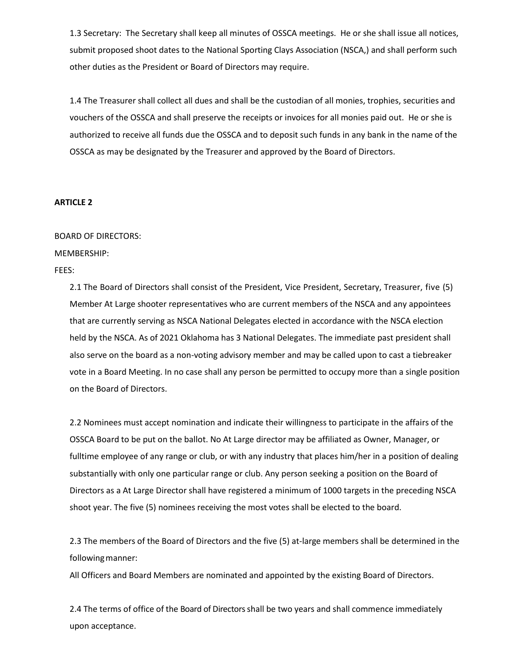1.3 Secretary: The Secretary shall keep all minutes of OSSCA meetings. He or she shall issue all notices, submit proposed shoot dates to the National Sporting Clays Association (NSCA,) and shall perform such other duties as the President or Board of Directors may require.

1.4 The Treasurer shall collect all dues and shall be the custodian of all monies, trophies, securities and vouchers of the OSSCA and shall preserve the receipts or invoices for all monies paid out. He or she is authorized to receive all funds due the OSSCA and to deposit such funds in any bank in the name of the OSSCA as may be designated by the Treasurer and approved by the Board of Directors.

#### **ARTICLE 2**

#### BOARD OF DIRECTORS:

MEMBERSHIP:

FEES:

2.1 The Board of Directors shall consist of the President, Vice President, Secretary, Treasurer, five (5) Member At Large shooter representatives who are current members of the NSCA and any appointees that are currently serving as NSCA National Delegates elected in accordance with the NSCA election held by the NSCA. As of 2021 Oklahoma has 3 National Delegates. The immediate past president shall also serve on the board as a non-voting advisory member and may be called upon to cast a tiebreaker vote in a Board Meeting. In no case shall any person be permitted to occupy more than a single position on the Board of Directors.

2.2 Nominees must accept nomination and indicate their willingness to participate in the affairs of the OSSCA Board to be put on the ballot. No At Large director may be affiliated as Owner, Manager, or fulltime employee of any range or club, or with any industry that places him/her in a position of dealing substantially with only one particular range or club. Any person seeking a position on the Board of Directors as a At Large Director shall have registered a minimum of 1000 targets in the preceding NSCA shoot year. The five (5) nominees receiving the most votes shall be elected to the board.

2.3 The members of the Board of Directors and the five (5) at-large members shall be determined in the following manner:

All Officers and Board Members are nominated and appointed by the existing Board of Directors.

2.4 The terms of office of the Board of Directors shall be two years and shall commence immediately upon acceptance.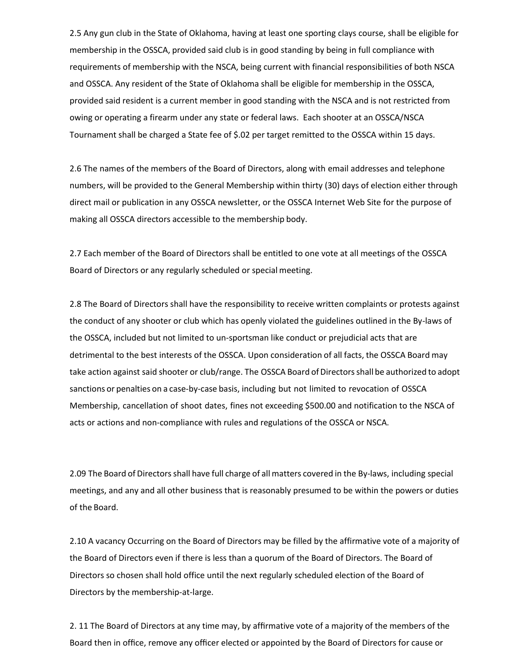2.5 Any gun club in the State of Oklahoma, having at least one sporting clays course, shall be eligible for membership in the OSSCA, provided said club is in good standing by being in full compliance with requirements of membership with the NSCA, being current with financial responsibilities of both NSCA and OSSCA. Any resident of the State of Oklahoma shall be eligible for membership in the OSSCA, provided said resident is a current member in good standing with the NSCA and is not restricted from owing or operating a firearm under any state or federal laws. Each shooter at an OSSCA/NSCA Tournament shall be charged a State fee of \$.02 per target remitted to the OSSCA within 15 days.

2.6 The names of the members of the Board of Directors, along with email addresses and telephone numbers, will be provided to the General Membership within thirty (30) days of election either through direct mail or publication in any OSSCA newsletter, or the OSSCA Internet Web Site for the purpose of making all OSSCA directors accessible to the membership body.

2.7 Each member of the Board of Directors shall be entitled to one vote at all meetings of the OSSCA Board of Directors or any regularly scheduled or special meeting.

2.8 The Board of Directors shall have the responsibility to receive written complaints or protests against the conduct of any shooter or club which has openly violated the guidelines outlined in the By-laws of the OSSCA, included but not limited to un-sportsman like conduct or prejudicial acts that are detrimental to the best interests of the OSSCA. Upon consideration of all facts, the OSSCA Board may take action against said shooter or club/range. The OSSCA Board of Directors shall be authorized to adopt sanctions or penalties on a case-by-case basis, including but not limited to revocation of OSSCA Membership, cancellation of shoot dates, fines not exceeding \$500.00 and notification to the NSCA of acts or actions and non-compliance with rules and regulations of the OSSCA or NSCA.

2.09 The Board of Directorsshall have full charge of allmatters covered in the By-laws, including special meetings, and any and all other business that is reasonably presumed to be within the powers or duties of the Board.

2.10 A vacancy Occurring on the Board of Directors may be filled by the affirmative vote of a majority of the Board of Directors even if there is less than a quorum of the Board of Directors. The Board of Directors so chosen shall hold office until the next regularly scheduled election of the Board of Directors by the membership-at-large.

2. 11 The Board of Directors at any time may, by affirmative vote of a majority of the members of the Board then in office, remove any officer elected or appointed by the Board of Directors for cause or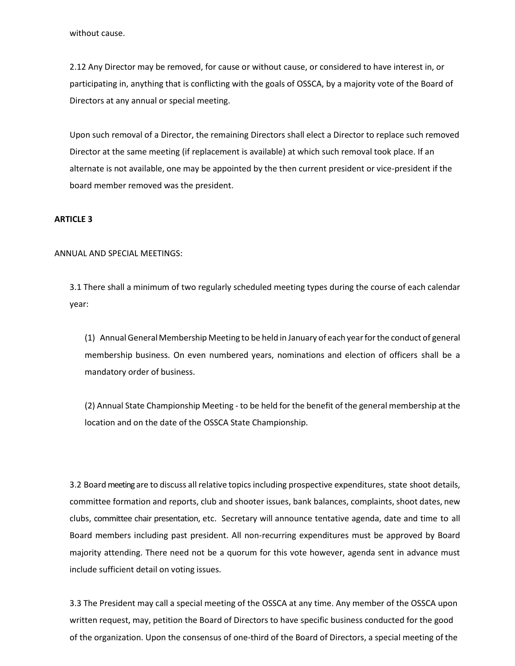without cause.

2.12 Any Director may be removed, for cause or without cause, or considered to have interest in, or participating in, anything that is conflicting with the goals of OSSCA, by a majority vote of the Board of Directors at any annual or special meeting.

Upon such removal of a Director, the remaining Directors shall elect a Director to replace such removed Director at the same meeting (if replacement is available) at which such removal took place. If an alternate is not available, one may be appointed by the then current president or vice-president if the board member removed was the president.

#### **ARTICLE 3**

#### ANNUAL AND SPECIAL MEETINGS:

3.1 There shall a minimum of two regularly scheduled meeting types during the course of each calendar year:

(1) Annual GeneralMembership Meeting to be held in January of each yearforthe conduct of general membership business. On even numbered years, nominations and election of officers shall be a mandatory order of business.

(2) Annual State Championship Meeting - to be held for the benefit of the general membership at the location and on the date of the OSSCA State Championship.

3.2 Boardmeeting are to discuss all relative topics including prospective expenditures, state shoot details, committee formation and reports, club and shooter issues, bank balances, complaints, shoot dates, new clubs, committee chair presentation, etc. Secretary will announce tentative agenda, date and time to all Board members including past president. All non-recurring expenditures must be approved by Board majority attending. There need not be a quorum for this vote however, agenda sent in advance must include sufficient detail on voting issues.

3.3 The President may call a special meeting of the OSSCA at any time. Any member of the OSSCA upon written request, may, petition the Board of Directors to have specific business conducted for the good of the organization. Upon the consensus of one-third of the Board of Directors, a special meeting of the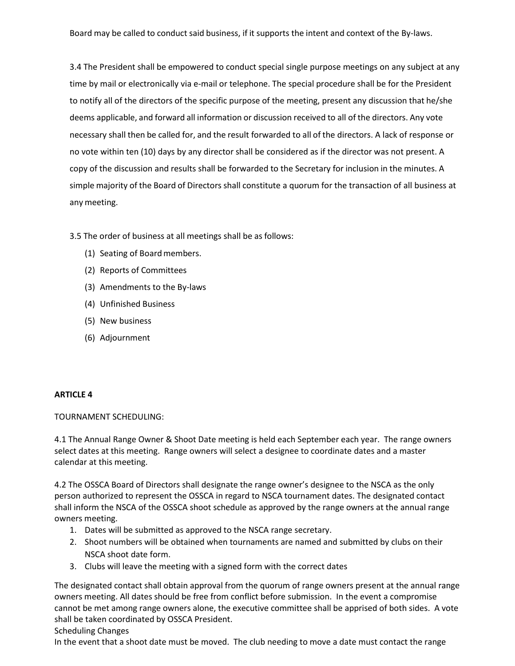3.4 The President shall be empowered to conduct special single purpose meetings on any subject at any time by mail or electronically via e-mail or telephone. The special procedure shall be for the President to notify all of the directors of the specific purpose of the meeting, present any discussion that he/she deems applicable, and forward all information or discussion received to all of the directors. Any vote necessary shall then be called for, and the result forwarded to all of the directors. A lack of response or no vote within ten (10) days by any director shall be considered as if the director was not present. A copy of the discussion and results shall be forwarded to the Secretary for inclusion in the minutes. A simple majority of the Board of Directors shall constitute a quorum for the transaction of all business at any meeting.

3.5 The order of business at all meetings shall be as follows:

- (1) Seating of Board members.
- (2) Reports of Committees
- (3) Amendments to the By-laws
- (4) Unfinished Business
- (5) New business
- (6) Adjournment

# **ARTICLE 4**

TOURNAMENT SCHEDULING:

4.1 The Annual Range Owner & Shoot Date meeting is held each September each year. The range owners select dates at this meeting. Range owners will select a designee to coordinate dates and a master calendar at this meeting.

4.2 The OSSCA Board of Directors shall designate the range owner's designee to the NSCA as the only person authorized to represent the OSSCA in regard to NSCA tournament dates. The designated contact shall inform the NSCA of the OSSCA shoot schedule as approved by the range owners at the annual range owners meeting.

- 1. Dates will be submitted as approved to the NSCA range secretary.
- 2. Shoot numbers will be obtained when tournaments are named and submitted by clubs on their NSCA shoot date form.
- 3. Clubs will leave the meeting with a signed form with the correct dates

The designated contact shall obtain approval from the quorum of range owners present at the annual range owners meeting. All dates should be free from conflict before submission. In the event a compromise cannot be met among range owners alone, the executive committee shall be apprised of both sides. A vote shall be taken coordinated by OSSCA President.

Scheduling Changes

In the event that a shoot date must be moved. The club needing to move a date must contact the range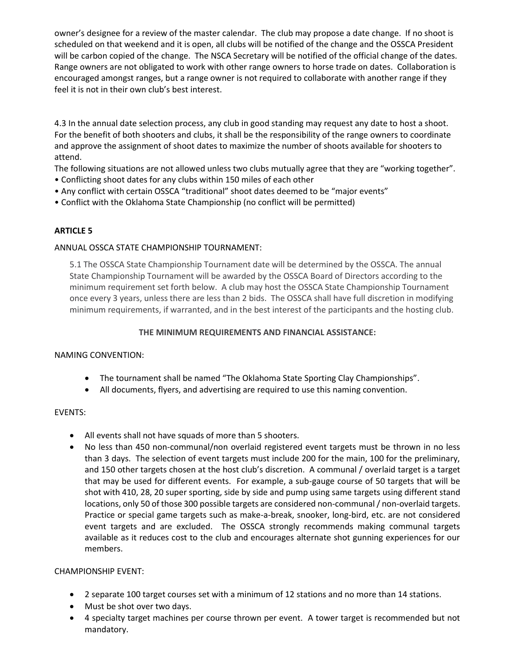owner's designee for a review of the master calendar. The club may propose a date change. If no shoot is scheduled on that weekend and it is open, all clubs will be notified of the change and the OSSCA President will be carbon copied of the change. The NSCA Secretary will be notified of the official change of the dates. Range owners are not obligated to work with other range owners to horse trade on dates. Collaboration is encouraged amongst ranges, but a range owner is not required to collaborate with another range if they feel it is not in their own club's best interest.

4.3 In the annual date selection process, any club in good standing may request any date to host a shoot. For the benefit of both shooters and clubs, it shall be the responsibility of the range owners to coordinate and approve the assignment of shoot dates to maximize the number of shoots available for shooters to attend.

The following situations are not allowed unless two clubs mutually agree that they are "working together".

- Conflicting shoot dates for any clubs within 150 miles of each other
- Any conflict with certain OSSCA "traditional" shoot dates deemed to be "major events"
- Conflict with the Oklahoma State Championship (no conflict will be permitted)

# **ARTICLE 5**

# ANNUAL OSSCA STATE CHAMPIONSHIP TOURNAMENT:

5.1 The OSSCA State Championship Tournament date will be determined by the OSSCA. The annual State Championship Tournament will be awarded by the OSSCA Board of Directors according to the minimum requirement set forth below. A club may host the OSSCA State Championship Tournament once every 3 years, unless there are less than 2 bids. The OSSCA shall have full discretion in modifying minimum requirements, if warranted, and in the best interest of the participants and the hosting club.

# **THE MINIMUM REQUIREMENTS AND FINANCIAL ASSISTANCE:**

# NAMING CONVENTION:

- The tournament shall be named "The Oklahoma State Sporting Clay Championships".
- All documents, flyers, and advertising are required to use this naming convention.

# EVENTS:

- All events shall not have squads of more than 5 shooters.
- No less than 450 non-communal/non overlaid registered event targets must be thrown in no less than 3 days. The selection of event targets must include 200 for the main, 100 for the preliminary, and 150 other targets chosen at the host club's discretion. A communal / overlaid target is a target that may be used for different events. For example, a sub-gauge course of 50 targets that will be shot with 410, 28, 20 super sporting, side by side and pump using same targets using different stand locations, only 50 of those 300 possible targets are considered non-communal / non-overlaid targets. Practice or special game targets such as make-a-break, snooker, long-bird, etc. are not considered event targets and are excluded. The OSSCA strongly recommends making communal targets available as it reduces cost to the club and encourages alternate shot gunning experiences for our members.

# CHAMPIONSHIP EVENT:

- 2 separate 100 target courses set with a minimum of 12 stations and no more than 14 stations.
- Must be shot over two days.
- 4 specialty target machines per course thrown per event. A tower target is recommended but not mandatory.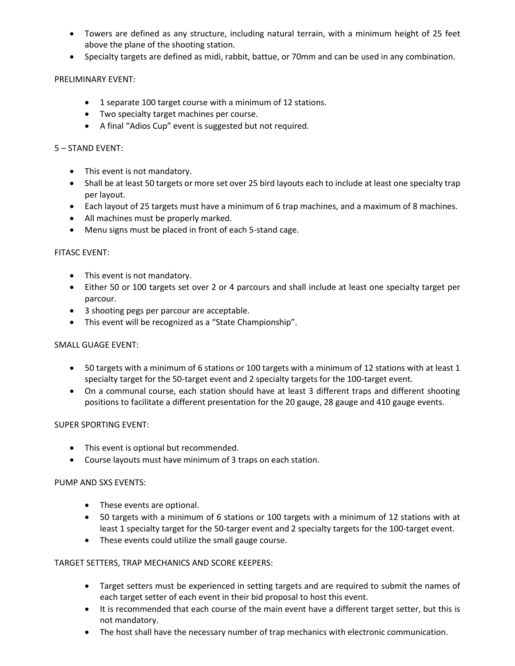- Towers are defined as any structure, including natural terrain, with a minimum height of 25 feet above the plane of the shooting station.
- Specialty targets are defined as midi, rabbit, battue, or 70mm and can be used in any combination.

# PRELIMINARY EVENT:

- 1 separate 100 target course with a minimum of 12 stations.
- Two specialty target machines per course.
- A final "Adios Cup" event is suggested but not required.

# 5 – STAND EVENT:

- This event is not mandatory.
- Shall be at least 50 targets or more set over 25 bird layouts each to include at least one specialty trap per layout.
- Each layout of 25 targets must have a minimum of 6 trap machines, and a maximum of 8 machines.
- All machines must be properly marked.
- Menu signs must be placed in front of each 5-stand cage.

# FITASC EVENT:

- This event is not mandatory.
- Either 50 or 100 targets set over 2 or 4 parcours and shall include at least one specialty target per parcour.
- 3 shooting pegs per parcour are acceptable.
- This event will be recognized as a "State Championship".

# SMALL GUAGE EVENT:

- 50 targets with a minimum of 6 stations or 100 targets with a minimum of 12 stations with at least 1 specialty target for the 50-target event and 2 specialty targets for the 100-target event.
- On a communal course, each station should have at least 3 different traps and different shooting positions to facilitate a different presentation for the 20 gauge, 28 gauge and 410 gauge events.

# SUPER SPORTING EVENT:

- This event is optional but recommended.
- Course layouts must have minimum of 3 traps on each station.

# PUMP AND SXS EVENTS:

- These events are optional.
- 50 targets with a minimum of 6 stations or 100 targets with a minimum of 12 stations with at least 1 specialty target for the 50-targer event and 2 specialty targets for the 100-target event.
- These events could utilize the small gauge course.

# TARGET SETTERS, TRAP MECHANICS AND SCORE KEEPERS:

- Target setters must be experienced in setting targets and are required to submit the names of each target setter of each event in their bid proposal to host this event.
- It is recommended that each course of the main event have a different target setter, but this is not mandatory.
- The host shall have the necessary number of trap mechanics with electronic communication.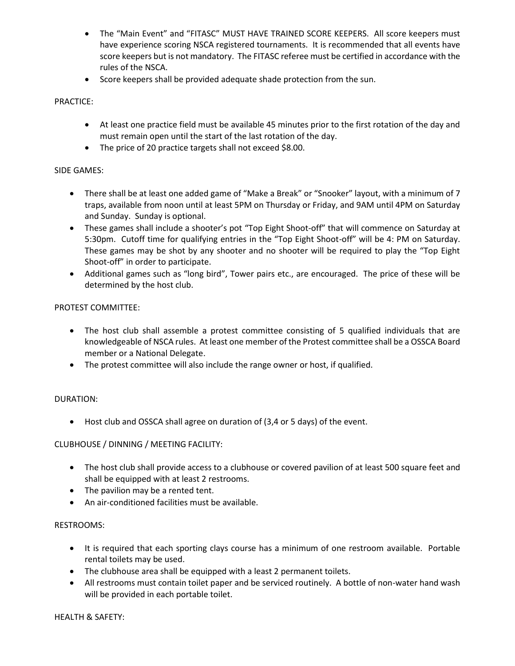- The "Main Event" and "FITASC" MUST HAVE TRAINED SCORE KEEPERS. All score keepers must have experience scoring NSCA registered tournaments. It is recommended that all events have score keepers but is not mandatory. The FITASC referee must be certified in accordance with the rules of the NSCA.
- Score keepers shall be provided adequate shade protection from the sun.

# PRACTICE:

- At least one practice field must be available 45 minutes prior to the first rotation of the day and must remain open until the start of the last rotation of the day.
- The price of 20 practice targets shall not exceed \$8.00.

# SIDE GAMES:

- There shall be at least one added game of "Make a Break" or "Snooker" layout, with a minimum of 7 traps, available from noon until at least 5PM on Thursday or Friday, and 9AM until 4PM on Saturday and Sunday. Sunday is optional.
- These games shall include a shooter's pot "Top Eight Shoot-off" that will commence on Saturday at 5:30pm. Cutoff time for qualifying entries in the "Top Eight Shoot-off" will be 4: PM on Saturday. These games may be shot by any shooter and no shooter will be required to play the "Top Eight Shoot-off" in order to participate.
- Additional games such as "long bird", Tower pairs etc., are encouraged. The price of these will be determined by the host club.

# PROTEST COMMITTEE:

- The host club shall assemble a protest committee consisting of 5 qualified individuals that are knowledgeable of NSCA rules. At least one member of the Protest committee shall be a OSSCA Board member or a National Delegate.
- The protest committee will also include the range owner or host, if qualified.

# DURATION:

• Host club and OSSCA shall agree on duration of (3,4 or 5 days) of the event.

# CLUBHOUSE / DINNING / MEETING FACILITY:

- The host club shall provide access to a clubhouse or covered pavilion of at least 500 square feet and shall be equipped with at least 2 restrooms.
- The pavilion may be a rented tent.
- An air-conditioned facilities must be available.

# RESTROOMS:

- It is required that each sporting clays course has a minimum of one restroom available. Portable rental toilets may be used.
- The clubhouse area shall be equipped with a least 2 permanent toilets.
- All restrooms must contain toilet paper and be serviced routinely. A bottle of non-water hand wash will be provided in each portable toilet.

# HEALTH & SAFETY: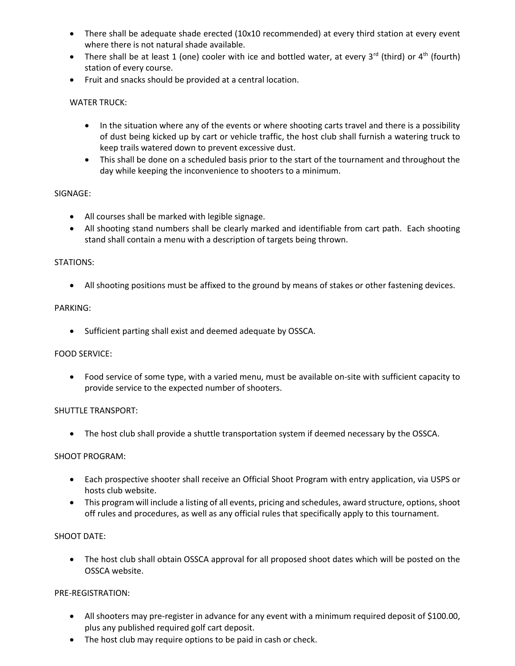- There shall be adequate shade erected (10x10 recommended) at every third station at every event where there is not natural shade available.
- There shall be at least 1 (one) cooler with ice and bottled water, at every  $3^{rd}$  (third) or  $4^{th}$  (fourth) station of every course.
- Fruit and snacks should be provided at a central location.

# WATER TRUCK:

- In the situation where any of the events or where shooting carts travel and there is a possibility of dust being kicked up by cart or vehicle traffic, the host club shall furnish a watering truck to keep trails watered down to prevent excessive dust.
- This shall be done on a scheduled basis prior to the start of the tournament and throughout the day while keeping the inconvenience to shooters to a minimum.

# SIGNAGE:

- All courses shall be marked with legible signage.
- All shooting stand numbers shall be clearly marked and identifiable from cart path. Each shooting stand shall contain a menu with a description of targets being thrown.

# STATIONS:

• All shooting positions must be affixed to the ground by means of stakes or other fastening devices.

# PARKING:

• Sufficient parting shall exist and deemed adequate by OSSCA.

# FOOD SERVICE:

• Food service of some type, with a varied menu, must be available on-site with sufficient capacity to provide service to the expected number of shooters.

# SHUTTLE TRANSPORT:

• The host club shall provide a shuttle transportation system if deemed necessary by the OSSCA.

# SHOOT PROGRAM:

- Each prospective shooter shall receive an Official Shoot Program with entry application, via USPS or hosts club website.
- This program will include a listing of all events, pricing and schedules, award structure, options, shoot off rules and procedures, as well as any official rules that specifically apply to this tournament.

# SHOOT DATE:

• The host club shall obtain OSSCA approval for all proposed shoot dates which will be posted on the OSSCA website.

# PRE-REGISTRATION:

- All shooters may pre-register in advance for any event with a minimum required deposit of \$100.00, plus any published required golf cart deposit.
- The host club may require options to be paid in cash or check.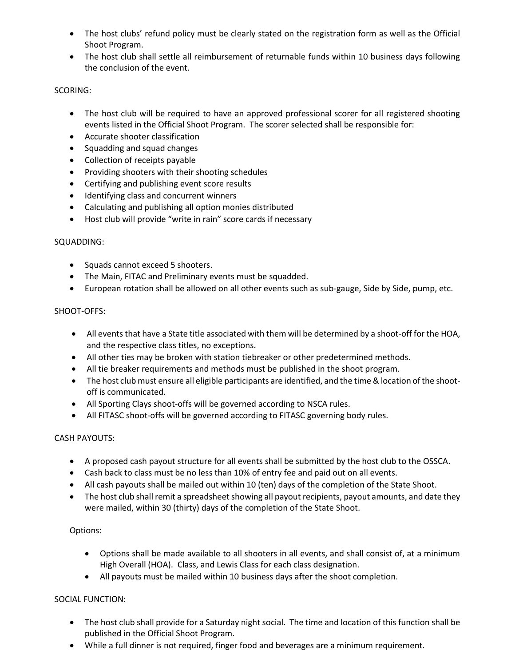- The host clubs' refund policy must be clearly stated on the registration form as well as the Official Shoot Program.
- The host club shall settle all reimbursement of returnable funds within 10 business days following the conclusion of the event.

# SCORING:

- The host club will be required to have an approved professional scorer for all registered shooting events listed in the Official Shoot Program. The scorer selected shall be responsible for:
- Accurate shooter classification
- Squadding and squad changes
- Collection of receipts payable
- Providing shooters with their shooting schedules
- Certifying and publishing event score results
- Identifying class and concurrent winners
- Calculating and publishing all option monies distributed
- Host club will provide "write in rain" score cards if necessary

# SQUADDING:

- Squads cannot exceed 5 shooters.
- The Main, FITAC and Preliminary events must be squadded.
- European rotation shall be allowed on all other events such as sub-gauge, Side by Side, pump, etc.

# SHOOT-OFFS:

- All events that have a State title associated with them will be determined by a shoot-off for the HOA, and the respective class titles, no exceptions.
- All other ties may be broken with station tiebreaker or other predetermined methods.
- All tie breaker requirements and methods must be published in the shoot program.
- The host club must ensure all eligible participants are identified, and the time & location of the shootoff is communicated.
- All Sporting Clays shoot-offs will be governed according to NSCA rules.
- All FITASC shoot-offs will be governed according to FITASC governing body rules.

# CASH PAYOUTS:

- A proposed cash payout structure for all events shall be submitted by the host club to the OSSCA.
- Cash back to class must be no less than 10% of entry fee and paid out on all events.
- All cash payouts shall be mailed out within 10 (ten) days of the completion of the State Shoot.
- The host club shall remit a spreadsheet showing all payout recipients, payout amounts, and date they were mailed, within 30 (thirty) days of the completion of the State Shoot.

# Options:

- Options shall be made available to all shooters in all events, and shall consist of, at a minimum High Overall (HOA). Class, and Lewis Class for each class designation.
- All payouts must be mailed within 10 business days after the shoot completion.

# SOCIAL FUNCTION:

- The host club shall provide for a Saturday night social. The time and location of this function shall be published in the Official Shoot Program.
- While a full dinner is not required, finger food and beverages are a minimum requirement.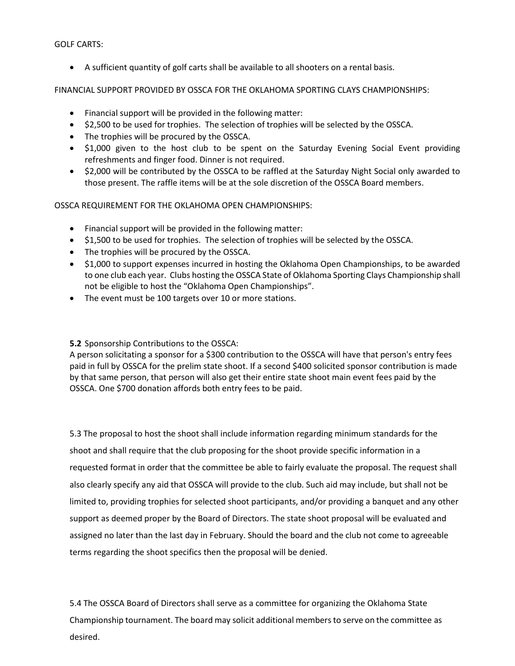GOLF CARTS:

• A sufficient quantity of golf carts shall be available to all shooters on a rental basis.

FINANCIAL SUPPORT PROVIDED BY OSSCA FOR THE OKLAHOMA SPORTING CLAYS CHAMPIONSHIPS:

- Financial support will be provided in the following matter:
- \$2,500 to be used for trophies. The selection of trophies will be selected by the OSSCA.
- The trophies will be procured by the OSSCA.
- \$1,000 given to the host club to be spent on the Saturday Evening Social Event providing refreshments and finger food. Dinner is not required.
- \$2,000 will be contributed by the OSSCA to be raffled at the Saturday Night Social only awarded to those present. The raffle items will be at the sole discretion of the OSSCA Board members.

OSSCA REQUIREMENT FOR THE OKLAHOMA OPEN CHAMPIONSHIPS:

- Financial support will be provided in the following matter:
- \$1,500 to be used for trophies. The selection of trophies will be selected by the OSSCA.
- The trophies will be procured by the OSSCA.
- \$1,000 to support expenses incurred in hosting the Oklahoma Open Championships, to be awarded to one club each year. Clubs hosting the OSSCA State of Oklahoma Sporting Clays Championship shall not be eligible to host the "Oklahoma Open Championships".
- The event must be 100 targets over 10 or more stations.

**5.2** Sponsorship Contributions to the OSSCA:

A person solicitating a sponsor for a \$300 contribution to the OSSCA will have that person's entry fees paid in full by OSSCA for the prelim state shoot. If a second \$400 solicited sponsor contribution is made by that same person, that person will also get their entire state shoot main event fees paid by the OSSCA. One \$700 donation affords both entry fees to be paid.

5.3 The proposal to host the shoot shall include information regarding minimum standards for the shoot and shall require that the club proposing for the shoot provide specific information in a requested format in order that the committee be able to fairly evaluate the proposal. The request shall also clearly specify any aid that OSSCA will provide to the club. Such aid may include, but shall not be limited to, providing trophies for selected shoot participants, and/or providing a banquet and any other support as deemed proper by the Board of Directors. The state shoot proposal will be evaluated and assigned no later than the last day in February. Should the board and the club not come to agreeable terms regarding the shoot specifics then the proposal will be denied.

5.4 The OSSCA Board of Directors shall serve as a committee for organizing the Oklahoma State Championship tournament. The board may solicit additional members to serve on the committee as desired.